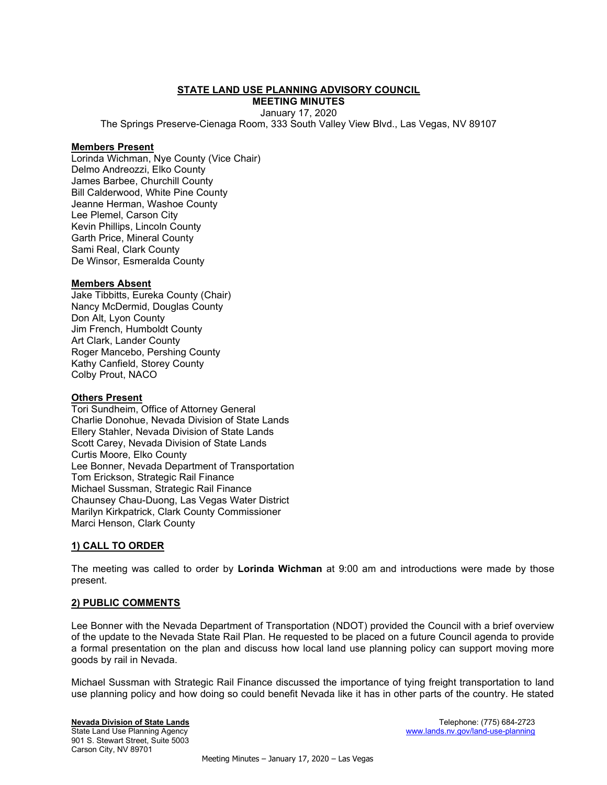### STATE LAND USE PLANNING ADVISORY COUNCIL

MEETING MINUTES January 17, 2020

The Springs Preserve-Cienaga Room, 333 South Valley View Blvd., Las Vegas, NV 89107

### Members Present

Lorinda Wichman, Nye County (Vice Chair) Delmo Andreozzi, Elko County James Barbee, Churchill County Bill Calderwood, White Pine County Jeanne Herman, Washoe County Lee Plemel, Carson City Kevin Phillips, Lincoln County Garth Price, Mineral County Sami Real, Clark County De Winsor, Esmeralda County

### Members Absent

Jake Tibbitts, Eureka County (Chair) Nancy McDermid, Douglas County Don Alt, Lyon County Jim French, Humboldt County Art Clark, Lander County Roger Mancebo, Pershing County Kathy Canfield, Storey County Colby Prout, NACO

### **Others Present**

Tori Sundheim, Office of Attorney General Charlie Donohue, Nevada Division of State Lands Ellery Stahler, Nevada Division of State Lands Scott Carey, Nevada Division of State Lands Curtis Moore, Elko County Lee Bonner, Nevada Department of Transportation Tom Erickson, Strategic Rail Finance Michael Sussman, Strategic Rail Finance Chaunsey Chau-Duong, Las Vegas Water District Marilyn Kirkpatrick, Clark County Commissioner Marci Henson, Clark County

# 1) CALL TO ORDER

The meeting was called to order by Lorinda Wichman at 9:00 am and introductions were made by those present.

### 2) PUBLIC COMMENTS

Lee Bonner with the Nevada Department of Transportation (NDOT) provided the Council with a brief overview of the update to the Nevada State Rail Plan. He requested to be placed on a future Council agenda to provide a formal presentation on the plan and discuss how local land use planning policy can support moving more goods by rail in Nevada.

Michael Sussman with Strategic Rail Finance discussed the importance of tying freight transportation to land use planning policy and how doing so could benefit Nevada like it has in other parts of the country. He stated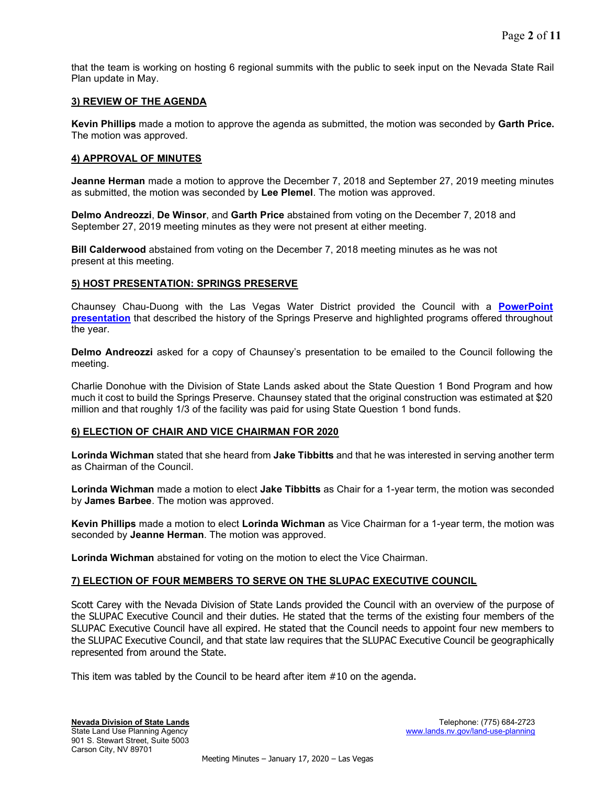that the team is working on hosting 6 regional summits with the public to seek input on the Nevada State Rail Plan update in May.

## 3) REVIEW OF THE AGENDA

Kevin Phillips made a motion to approve the agenda as submitted, the motion was seconded by Garth Price. The motion was approved.

## 4) APPROVAL OF MINUTES

Jeanne Herman made a motion to approve the December 7, 2018 and September 27, 2019 meeting minutes as submitted, the motion was seconded by Lee Plemel. The motion was approved.

Delmo Andreozzi, De Winsor, and Garth Price abstained from voting on the December 7, 2018 and September 27, 2019 meeting minutes as they were not present at either meeting.

Bill Calderwood abstained from voting on the December 7, 2018 meeting minutes as he was not present at this meeting.

## 5) HOST PRESENTATION: SPRINGS PRESERVE

Chaunsey Chau-Duong with the Las Vegas Water District provided the Council with a PowerPoint **presentation** that described the history of the Springs Preserve and highlighted programs offered throughout the year.

Delmo Andreozzi asked for a copy of Chaunsey's presentation to be emailed to the Council following the meeting.

Charlie Donohue with the Division of State Lands asked about the State Question 1 Bond Program and how much it cost to build the Springs Preserve. Chaunsey stated that the original construction was estimated at \$20 million and that roughly 1/3 of the facility was paid for using State Question 1 bond funds.

### 6) ELECTION OF CHAIR AND VICE CHAIRMAN FOR 2020

Lorinda Wichman stated that she heard from Jake Tibbitts and that he was interested in serving another term as Chairman of the Council.

Lorinda Wichman made a motion to elect Jake Tibbitts as Chair for a 1-year term, the motion was seconded by James Barbee. The motion was approved.

Kevin Phillips made a motion to elect Lorinda Wichman as Vice Chairman for a 1-year term, the motion was seconded by Jeanne Herman. The motion was approved.

Lorinda Wichman abstained for voting on the motion to elect the Vice Chairman.

### 7) ELECTION OF FOUR MEMBERS TO SERVE ON THE SLUPAC EXECUTIVE COUNCIL

Scott Carey with the Nevada Division of State Lands provided the Council with an overview of the purpose of the SLUPAC Executive Council and their duties. He stated that the terms of the existing four members of the SLUPAC Executive Council have all expired. He stated that the Council needs to appoint four new members to the SLUPAC Executive Council, and that state law requires that the SLUPAC Executive Council be geographically represented from around the State.

This item was tabled by the Council to be heard after item #10 on the agenda.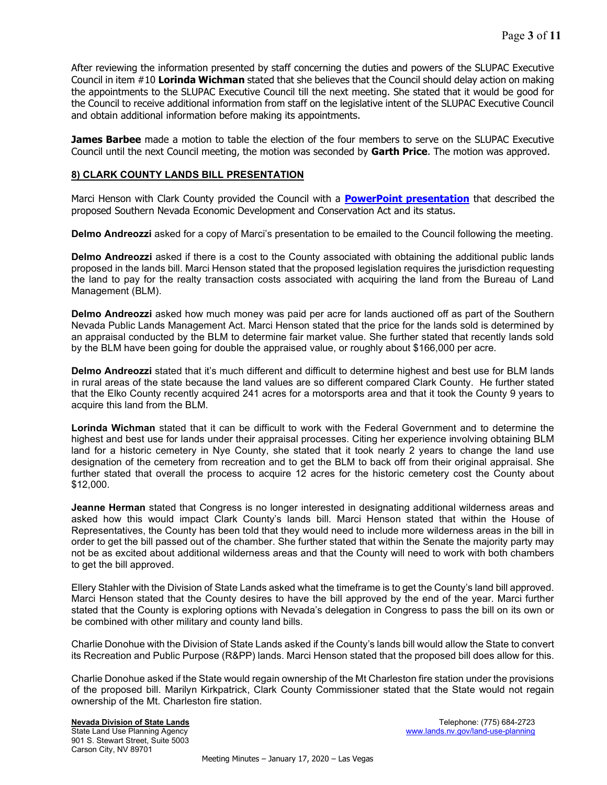After reviewing the information presented by staff concerning the duties and powers of the SLUPAC Executive Council in item #10 Lorinda Wichman stated that she believes that the Council should delay action on making the appointments to the SLUPAC Executive Council till the next meeting. She stated that it would be good for the Council to receive additional information from staff on the legislative intent of the SLUPAC Executive Council and obtain additional information before making its appointments.

**James Barbee** made a motion to table the election of the four members to serve on the SLUPAC Executive Council until the next Council meeting, the motion was seconded by Garth Price. The motion was approved.

## 8) CLARK COUNTY LANDS BILL PRESENTATION

Marci Henson with Clark County provided the Council with a **PowerPoint presentation** that described the proposed Southern Nevada Economic Development and Conservation Act and its status.

Delmo Andreozzi asked for a copy of Marci's presentation to be emailed to the Council following the meeting.

Delmo Andreozzi asked if there is a cost to the County associated with obtaining the additional public lands proposed in the lands bill. Marci Henson stated that the proposed legislation requires the jurisdiction requesting the land to pay for the realty transaction costs associated with acquiring the land from the Bureau of Land Management (BLM).

Delmo Andreozzi asked how much money was paid per acre for lands auctioned off as part of the Southern Nevada Public Lands Management Act. Marci Henson stated that the price for the lands sold is determined by an appraisal conducted by the BLM to determine fair market value. She further stated that recently lands sold by the BLM have been going for double the appraised value, or roughly about \$166,000 per acre.

Delmo Andreozzi stated that it's much different and difficult to determine highest and best use for BLM lands in rural areas of the state because the land values are so different compared Clark County. He further stated that the Elko County recently acquired 241 acres for a motorsports area and that it took the County 9 years to acquire this land from the BLM.

Lorinda Wichman stated that it can be difficult to work with the Federal Government and to determine the highest and best use for lands under their appraisal processes. Citing her experience involving obtaining BLM land for a historic cemetery in Nye County, she stated that it took nearly 2 years to change the land use designation of the cemetery from recreation and to get the BLM to back off from their original appraisal. She further stated that overall the process to acquire 12 acres for the historic cemetery cost the County about \$12,000.

Jeanne Herman stated that Congress is no longer interested in designating additional wilderness areas and asked how this would impact Clark County's lands bill. Marci Henson stated that within the House of Representatives, the County has been told that they would need to include more wilderness areas in the bill in order to get the bill passed out of the chamber. She further stated that within the Senate the majority party may not be as excited about additional wilderness areas and that the County will need to work with both chambers to get the bill approved.

Ellery Stahler with the Division of State Lands asked what the timeframe is to get the County's land bill approved. Marci Henson stated that the County desires to have the bill approved by the end of the year. Marci further stated that the County is exploring options with Nevada's delegation in Congress to pass the bill on its own or be combined with other military and county land bills.

Charlie Donohue with the Division of State Lands asked if the County's lands bill would allow the State to convert its Recreation and Public Purpose (R&PP) lands. Marci Henson stated that the proposed bill does allow for this.

Charlie Donohue asked if the State would regain ownership of the Mt Charleston fire station under the provisions of the proposed bill. Marilyn Kirkpatrick, Clark County Commissioner stated that the State would not regain ownership of the Mt. Charleston fire station.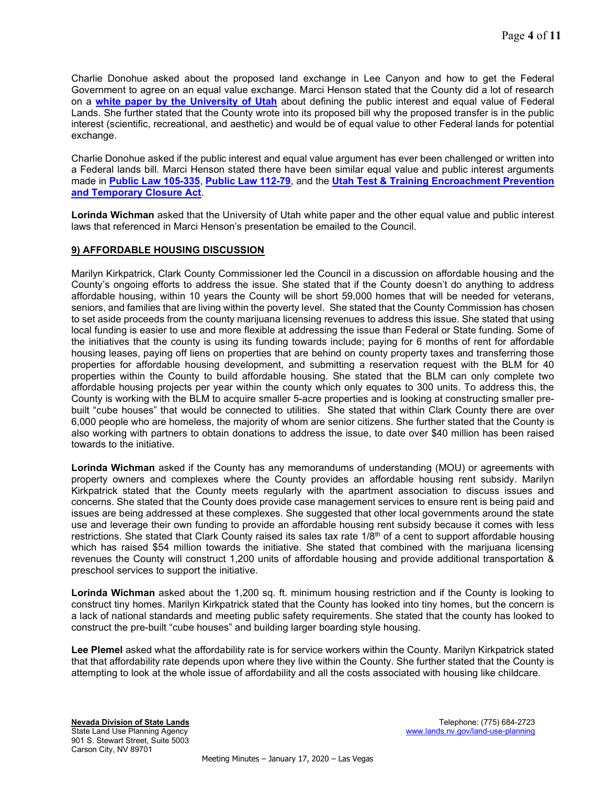Charlie Donohue asked about the proposed land exchange in Lee Canyon and how to get the Federal Government to agree on an equal value exchange. Marci Henson stated that the County did a lot of research on a white paper by the University of Utah about defining the public interest and equal value of Federal Lands. She further stated that the County wrote into its proposed bill why the proposed transfer is in the public interest (scientific, recreational, and aesthetic) and would be of equal value to other Federal lands for potential exchange.

Charlie Donohue asked if the public interest and equal value argument has ever been challenged or written into a Federal lands bill. Marci Henson stated there have been similar equal value and public interest arguments made in Public Law 105-335, Public Law 112-79, and the Utah Test & Training Encroachment Prevention and Temporary Closure Act.

Lorinda Wichman asked that the University of Utah white paper and the other equal value and public interest laws that referenced in Marci Henson's presentation be emailed to the Council.

# 9) AFFORDABLE HOUSING DISCUSSION

Marilyn Kirkpatrick, Clark County Commissioner led the Council in a discussion on affordable housing and the County's ongoing efforts to address the issue. She stated that if the County doesn't do anything to address affordable housing, within 10 years the County will be short 59,000 homes that will be needed for veterans, seniors, and families that are living within the poverty level. She stated that the County Commission has chosen to set aside proceeds from the county marijuana licensing revenues to address this issue. She stated that using local funding is easier to use and more flexible at addressing the issue than Federal or State funding. Some of the initiatives that the county is using its funding towards include; paying for 6 months of rent for affordable housing leases, paying off liens on properties that are behind on county property taxes and transferring those properties for affordable housing development, and submitting a reservation request with the BLM for 40 properties within the County to build affordable housing. She stated that the BLM can only complete two affordable housing projects per year within the county which only equates to 300 units. To address this, the County is working with the BLM to acquire smaller 5-acre properties and is looking at constructing smaller prebuilt "cube houses" that would be connected to utilities. She stated that within Clark County there are over 6,000 people who are homeless, the majority of whom are senior citizens. She further stated that the County is also working with partners to obtain donations to address the issue, to date over \$40 million has been raised towards to the initiative.

Lorinda Wichman asked if the County has any memorandums of understanding (MOU) or agreements with property owners and complexes where the County provides an affordable housing rent subsidy. Marilyn Kirkpatrick stated that the County meets regularly with the apartment association to discuss issues and concerns. She stated that the County does provide case management services to ensure rent is being paid and issues are being addressed at these complexes. She suggested that other local governments around the state use and leverage their own funding to provide an affordable housing rent subsidy because it comes with less restrictions. She stated that Clark County raised its sales tax rate 1/8<sup>th</sup> of a cent to support affordable housing which has raised \$54 million towards the initiative. She stated that combined with the marijuana licensing revenues the County will construct 1,200 units of affordable housing and provide additional transportation & preschool services to support the initiative.

Lorinda Wichman asked about the 1,200 sq. ft. minimum housing restriction and if the County is looking to construct tiny homes. Marilyn Kirkpatrick stated that the County has looked into tiny homes, but the concern is a lack of national standards and meeting public safety requirements. She stated that the county has looked to construct the pre-built "cube houses" and building larger boarding style housing.

Lee Plemel asked what the affordability rate is for service workers within the County. Marilyn Kirkpatrick stated that that affordability rate depends upon where they live within the County. She further stated that the County is attempting to look at the whole issue of affordability and all the costs associated with housing like childcare.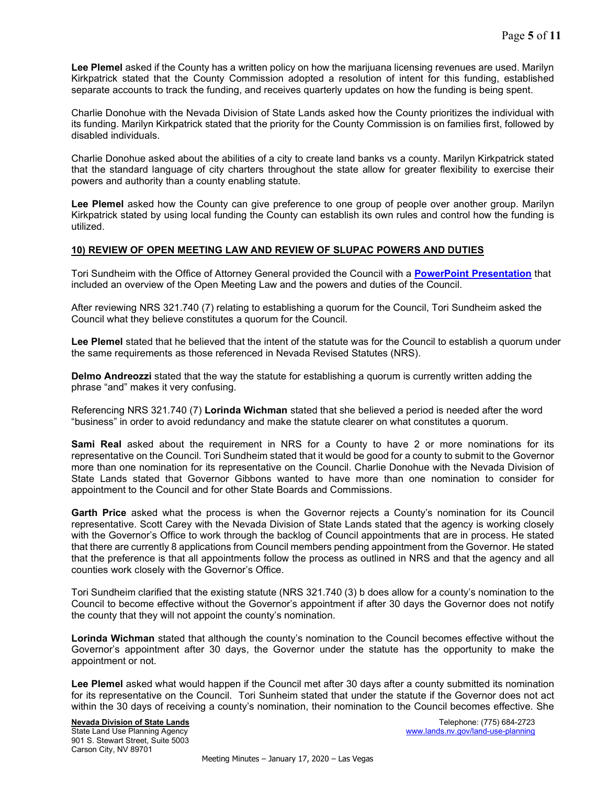Lee Plemel asked if the County has a written policy on how the marijuana licensing revenues are used. Marilyn Kirkpatrick stated that the County Commission adopted a resolution of intent for this funding, established separate accounts to track the funding, and receives quarterly updates on how the funding is being spent.

Charlie Donohue with the Nevada Division of State Lands asked how the County prioritizes the individual with its funding. Marilyn Kirkpatrick stated that the priority for the County Commission is on families first, followed by disabled individuals.

Charlie Donohue asked about the abilities of a city to create land banks vs a county. Marilyn Kirkpatrick stated that the standard language of city charters throughout the state allow for greater flexibility to exercise their powers and authority than a county enabling statute.

Lee Plemel asked how the County can give preference to one group of people over another group. Marilyn Kirkpatrick stated by using local funding the County can establish its own rules and control how the funding is utilized.

## 10) REVIEW OF OPEN MEETING LAW AND REVIEW OF SLUPAC POWERS AND DUTIES

Tori Sundheim with the Office of Attorney General provided the Council with a PowerPoint Presentation that included an overview of the Open Meeting Law and the powers and duties of the Council.

After reviewing NRS 321.740 (7) relating to establishing a quorum for the Council, Tori Sundheim asked the Council what they believe constitutes a quorum for the Council.

Lee Plemel stated that he believed that the intent of the statute was for the Council to establish a quorum under the same requirements as those referenced in Nevada Revised Statutes (NRS).

**Delmo Andreozzi** stated that the way the statute for establishing a quorum is currently written adding the phrase "and" makes it very confusing.

Referencing NRS 321.740 (7) Lorinda Wichman stated that she believed a period is needed after the word "business" in order to avoid redundancy and make the statute clearer on what constitutes a quorum.

**Sami Real** asked about the requirement in NRS for a County to have 2 or more nominations for its representative on the Council. Tori Sundheim stated that it would be good for a county to submit to the Governor more than one nomination for its representative on the Council. Charlie Donohue with the Nevada Division of State Lands stated that Governor Gibbons wanted to have more than one nomination to consider for appointment to the Council and for other State Boards and Commissions.

Garth Price asked what the process is when the Governor rejects a County's nomination for its Council representative. Scott Carey with the Nevada Division of State Lands stated that the agency is working closely with the Governor's Office to work through the backlog of Council appointments that are in process. He stated that there are currently 8 applications from Council members pending appointment from the Governor. He stated that the preference is that all appointments follow the process as outlined in NRS and that the agency and all counties work closely with the Governor's Office.

Tori Sundheim clarified that the existing statute (NRS 321.740 (3) b does allow for a county's nomination to the Council to become effective without the Governor's appointment if after 30 days the Governor does not notify the county that they will not appoint the county's nomination.

Lorinda Wichman stated that although the county's nomination to the Council becomes effective without the Governor's appointment after 30 days, the Governor under the statute has the opportunity to make the appointment or not.

Lee Plemel asked what would happen if the Council met after 30 days after a county submitted its nomination for its representative on the Council. Tori Sunheim stated that under the statute if the Governor does not act within the 30 days of receiving a county's nomination, their nomination to the Council becomes effective. She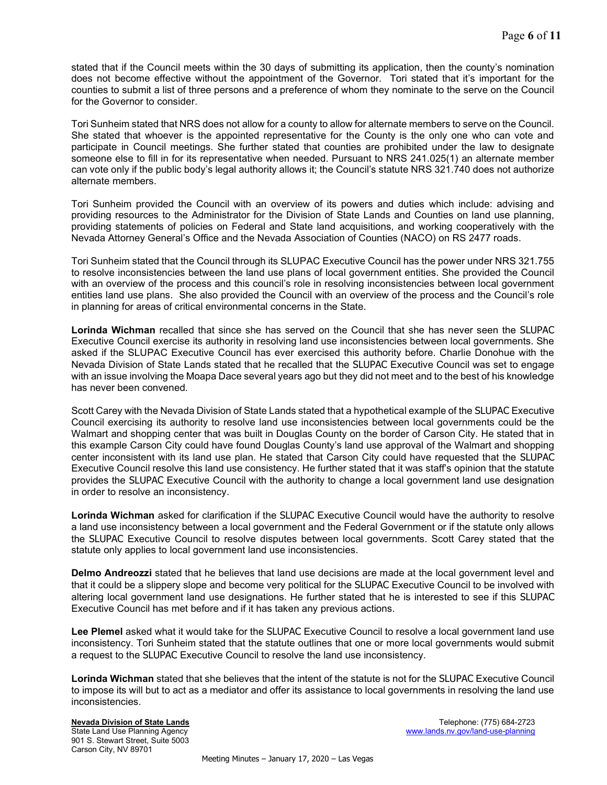stated that if the Council meets within the 30 days of submitting its application, then the county's nomination does not become effective without the appointment of the Governor. Tori stated that it's important for the counties to submit a list of three persons and a preference of whom they nominate to the serve on the Council for the Governor to consider.

Tori Sunheim stated that NRS does not allow for a county to allow for alternate members to serve on the Council. She stated that whoever is the appointed representative for the County is the only one who can vote and participate in Council meetings. She further stated that counties are prohibited under the law to designate someone else to fill in for its representative when needed. Pursuant to NRS 241.025(1) an alternate member can vote only if the public body's legal authority allows it; the Council's statute NRS 321.740 does not authorize alternate members.

Tori Sunheim provided the Council with an overview of its powers and duties which include: advising and providing resources to the Administrator for the Division of State Lands and Counties on land use planning, providing statements of policies on Federal and State land acquisitions, and working cooperatively with the Nevada Attorney General's Office and the Nevada Association of Counties (NACO) on RS 2477 roads.

Tori Sunheim stated that the Council through its SLUPAC Executive Council has the power under NRS 321.755 to resolve inconsistencies between the land use plans of local government entities. She provided the Council with an overview of the process and this council's role in resolving inconsistencies between local government entities land use plans. She also provided the Council with an overview of the process and the Council's role in planning for areas of critical environmental concerns in the State.

Lorinda Wichman recalled that since she has served on the Council that she has never seen the SLUPAC Executive Council exercise its authority in resolving land use inconsistencies between local governments. She asked if the SLUPAC Executive Council has ever exercised this authority before. Charlie Donohue with the Nevada Division of State Lands stated that he recalled that the SLUPAC Executive Council was set to engage with an issue involving the Moapa Dace several years ago but they did not meet and to the best of his knowledge has never been convened.

Scott Carey with the Nevada Division of State Lands stated that a hypothetical example of the SLUPAC Executive Council exercising its authority to resolve land use inconsistencies between local governments could be the Walmart and shopping center that was built in Douglas County on the border of Carson City. He stated that in this example Carson City could have found Douglas County's land use approval of the Walmart and shopping center inconsistent with its land use plan. He stated that Carson City could have requested that the SLUPAC Executive Council resolve this land use consistency. He further stated that it was staff's opinion that the statute provides the SLUPAC Executive Council with the authority to change a local government land use designation in order to resolve an inconsistency.

Lorinda Wichman asked for clarification if the SLUPAC Executive Council would have the authority to resolve a land use inconsistency between a local government and the Federal Government or if the statute only allows the SLUPAC Executive Council to resolve disputes between local governments. Scott Carey stated that the statute only applies to local government land use inconsistencies.

Delmo Andreozzi stated that he believes that land use decisions are made at the local government level and that it could be a slippery slope and become very political for the SLUPAC Executive Council to be involved with altering local government land use designations. He further stated that he is interested to see if this SLUPAC Executive Council has met before and if it has taken any previous actions.

Lee Plemel asked what it would take for the SLUPAC Executive Council to resolve a local government land use inconsistency. Tori Sunheim stated that the statute outlines that one or more local governments would submit a request to the SLUPAC Executive Council to resolve the land use inconsistency.

Lorinda Wichman stated that she believes that the intent of the statute is not for the SLUPAC Executive Council to impose its will but to act as a mediator and offer its assistance to local governments in resolving the land use inconsistencies.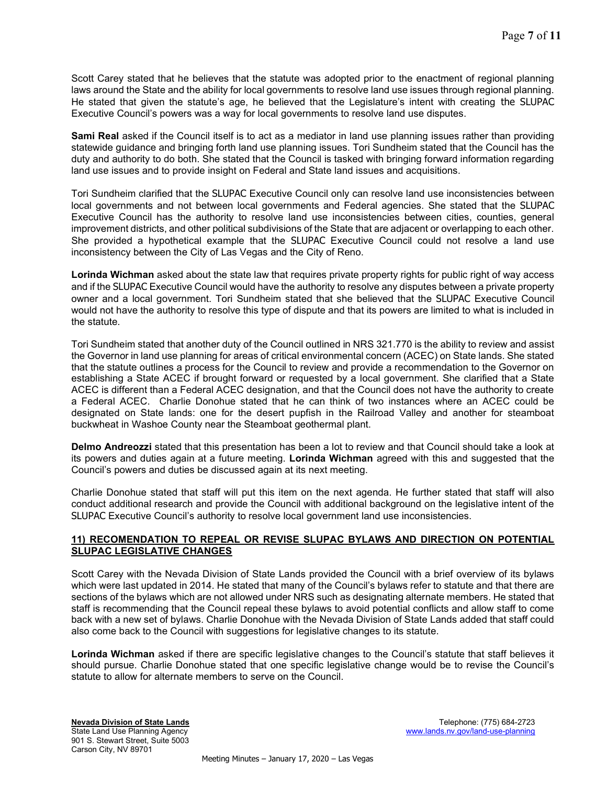Scott Carey stated that he believes that the statute was adopted prior to the enactment of regional planning laws around the State and the ability for local governments to resolve land use issues through regional planning. He stated that given the statute's age, he believed that the Legislature's intent with creating the SLUPAC Executive Council's powers was a way for local governments to resolve land use disputes.

Sami Real asked if the Council itself is to act as a mediator in land use planning issues rather than providing statewide guidance and bringing forth land use planning issues. Tori Sundheim stated that the Council has the duty and authority to do both. She stated that the Council is tasked with bringing forward information regarding land use issues and to provide insight on Federal and State land issues and acquisitions.

Tori Sundheim clarified that the SLUPAC Executive Council only can resolve land use inconsistencies between local governments and not between local governments and Federal agencies. She stated that the SLUPAC Executive Council has the authority to resolve land use inconsistencies between cities, counties, general improvement districts, and other political subdivisions of the State that are adjacent or overlapping to each other. She provided a hypothetical example that the SLUPAC Executive Council could not resolve a land use inconsistency between the City of Las Vegas and the City of Reno.

Lorinda Wichman asked about the state law that requires private property rights for public right of way access and if the SLUPAC Executive Council would have the authority to resolve any disputes between a private property owner and a local government. Tori Sundheim stated that she believed that the SLUPAC Executive Council would not have the authority to resolve this type of dispute and that its powers are limited to what is included in the statute.

Tori Sundheim stated that another duty of the Council outlined in NRS 321.770 is the ability to review and assist the Governor in land use planning for areas of critical environmental concern (ACEC) on State lands. She stated that the statute outlines a process for the Council to review and provide a recommendation to the Governor on establishing a State ACEC if brought forward or requested by a local government. She clarified that a State ACEC is different than a Federal ACEC designation, and that the Council does not have the authority to create a Federal ACEC. Charlie Donohue stated that he can think of two instances where an ACEC could be designated on State lands: one for the desert pupfish in the Railroad Valley and another for steamboat buckwheat in Washoe County near the Steamboat geothermal plant.

Delmo Andreozzi stated that this presentation has been a lot to review and that Council should take a look at its powers and duties again at a future meeting. Lorinda Wichman agreed with this and suggested that the Council's powers and duties be discussed again at its next meeting.

Charlie Donohue stated that staff will put this item on the next agenda. He further stated that staff will also conduct additional research and provide the Council with additional background on the legislative intent of the SLUPAC Executive Council's authority to resolve local government land use inconsistencies.

# 11) RECOMENDATION TO REPEAL OR REVISE SLUPAC BYLAWS AND DIRECTION ON POTENTIAL SLUPAC LEGISLATIVE CHANGES

Scott Carey with the Nevada Division of State Lands provided the Council with a brief overview of its bylaws which were last updated in 2014. He stated that many of the Council's bylaws refer to statute and that there are sections of the bylaws which are not allowed under NRS such as designating alternate members. He stated that staff is recommending that the Council repeal these bylaws to avoid potential conflicts and allow staff to come back with a new set of bylaws. Charlie Donohue with the Nevada Division of State Lands added that staff could also come back to the Council with suggestions for legislative changes to its statute.

Lorinda Wichman asked if there are specific legislative changes to the Council's statute that staff believes it should pursue. Charlie Donohue stated that one specific legislative change would be to revise the Council's statute to allow for alternate members to serve on the Council.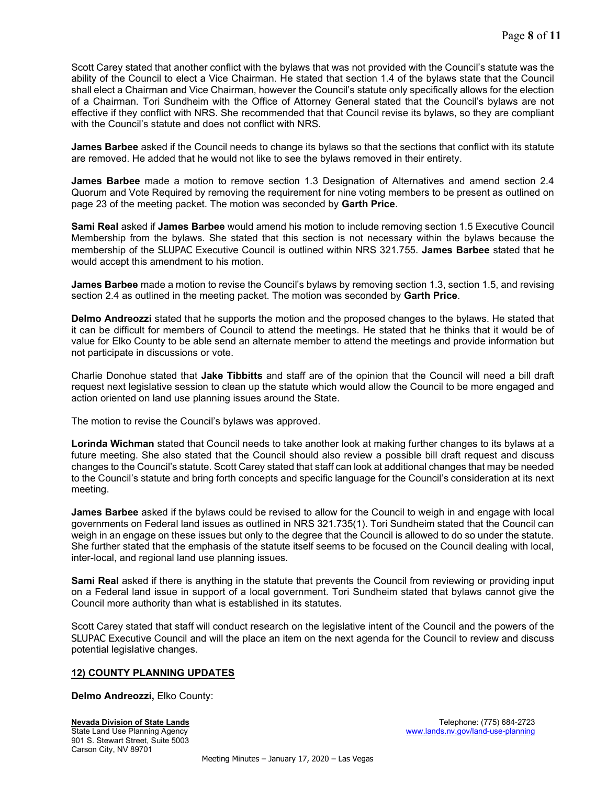Scott Carey stated that another conflict with the bylaws that was not provided with the Council's statute was the ability of the Council to elect a Vice Chairman. He stated that section 1.4 of the bylaws state that the Council shall elect a Chairman and Vice Chairman, however the Council's statute only specifically allows for the election of a Chairman. Tori Sundheim with the Office of Attorney General stated that the Council's bylaws are not effective if they conflict with NRS. She recommended that that Council revise its bylaws, so they are compliant with the Council's statute and does not conflict with NRS.

James Barbee asked if the Council needs to change its bylaws so that the sections that conflict with its statute are removed. He added that he would not like to see the bylaws removed in their entirety.

James Barbee made a motion to remove section 1.3 Designation of Alternatives and amend section 2.4 Quorum and Vote Required by removing the requirement for nine voting members to be present as outlined on page 23 of the meeting packet. The motion was seconded by Garth Price.

Sami Real asked if James Barbee would amend his motion to include removing section 1.5 Executive Council Membership from the bylaws. She stated that this section is not necessary within the bylaws because the membership of the SLUPAC Executive Council is outlined within NRS 321.755. James Barbee stated that he would accept this amendment to his motion.

**James Barbee** made a motion to revise the Council's bylaws by removing section 1.3, section 1.5, and revising section 2.4 as outlined in the meeting packet. The motion was seconded by **Garth Price**.

Delmo Andreozzi stated that he supports the motion and the proposed changes to the bylaws. He stated that it can be difficult for members of Council to attend the meetings. He stated that he thinks that it would be of value for Elko County to be able send an alternate member to attend the meetings and provide information but not participate in discussions or vote.

Charlie Donohue stated that Jake Tibbitts and staff are of the opinion that the Council will need a bill draft request next legislative session to clean up the statute which would allow the Council to be more engaged and action oriented on land use planning issues around the State.

The motion to revise the Council's bylaws was approved.

Lorinda Wichman stated that Council needs to take another look at making further changes to its bylaws at a future meeting. She also stated that the Council should also review a possible bill draft request and discuss changes to the Council's statute. Scott Carey stated that staff can look at additional changes that may be needed to the Council's statute and bring forth concepts and specific language for the Council's consideration at its next meeting.

James Barbee asked if the bylaws could be revised to allow for the Council to weigh in and engage with local governments on Federal land issues as outlined in NRS 321.735(1). Tori Sundheim stated that the Council can weigh in an engage on these issues but only to the degree that the Council is allowed to do so under the statute. She further stated that the emphasis of the statute itself seems to be focused on the Council dealing with local, inter-local, and regional land use planning issues.

Sami Real asked if there is anything in the statute that prevents the Council from reviewing or providing input on a Federal land issue in support of a local government. Tori Sundheim stated that bylaws cannot give the Council more authority than what is established in its statutes.

Scott Carey stated that staff will conduct research on the legislative intent of the Council and the powers of the SLUPAC Executive Council and will the place an item on the next agenda for the Council to review and discuss potential legislative changes.

### 12) COUNTY PLANNING UPDATES

Delmo Andreozzi, Elko County: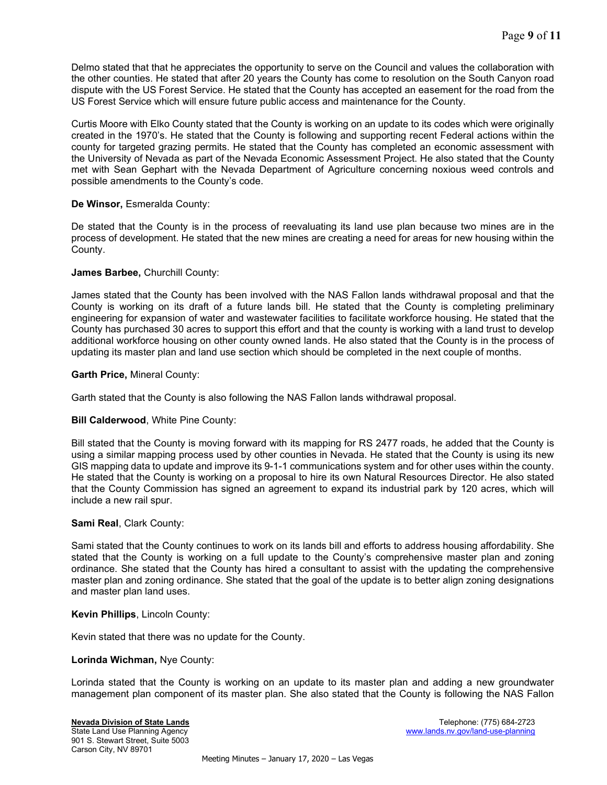Delmo stated that that he appreciates the opportunity to serve on the Council and values the collaboration with the other counties. He stated that after 20 years the County has come to resolution on the South Canyon road dispute with the US Forest Service. He stated that the County has accepted an easement for the road from the US Forest Service which will ensure future public access and maintenance for the County.

Curtis Moore with Elko County stated that the County is working on an update to its codes which were originally created in the 1970's. He stated that the County is following and supporting recent Federal actions within the county for targeted grazing permits. He stated that the County has completed an economic assessment with the University of Nevada as part of the Nevada Economic Assessment Project. He also stated that the County met with Sean Gephart with the Nevada Department of Agriculture concerning noxious weed controls and possible amendments to the County's code.

## De Winsor, Esmeralda County:

De stated that the County is in the process of reevaluating its land use plan because two mines are in the process of development. He stated that the new mines are creating a need for areas for new housing within the County.

## James Barbee, Churchill County:

James stated that the County has been involved with the NAS Fallon lands withdrawal proposal and that the County is working on its draft of a future lands bill. He stated that the County is completing preliminary engineering for expansion of water and wastewater facilities to facilitate workforce housing. He stated that the County has purchased 30 acres to support this effort and that the county is working with a land trust to develop additional workforce housing on other county owned lands. He also stated that the County is in the process of updating its master plan and land use section which should be completed in the next couple of months.

## Garth Price, Mineral County:

Garth stated that the County is also following the NAS Fallon lands withdrawal proposal.

### Bill Calderwood, White Pine County:

Bill stated that the County is moving forward with its mapping for RS 2477 roads, he added that the County is using a similar mapping process used by other counties in Nevada. He stated that the County is using its new GIS mapping data to update and improve its 9-1-1 communications system and for other uses within the county. He stated that the County is working on a proposal to hire its own Natural Resources Director. He also stated that the County Commission has signed an agreement to expand its industrial park by 120 acres, which will include a new rail spur.

### Sami Real, Clark County:

Sami stated that the County continues to work on its lands bill and efforts to address housing affordability. She stated that the County is working on a full update to the County's comprehensive master plan and zoning ordinance. She stated that the County has hired a consultant to assist with the updating the comprehensive master plan and zoning ordinance. She stated that the goal of the update is to better align zoning designations and master plan land uses.

### Kevin Phillips, Lincoln County:

Kevin stated that there was no update for the County.

### Lorinda Wichman, Nye County:

Lorinda stated that the County is working on an update to its master plan and adding a new groundwater management plan component of its master plan. She also stated that the County is following the NAS Fallon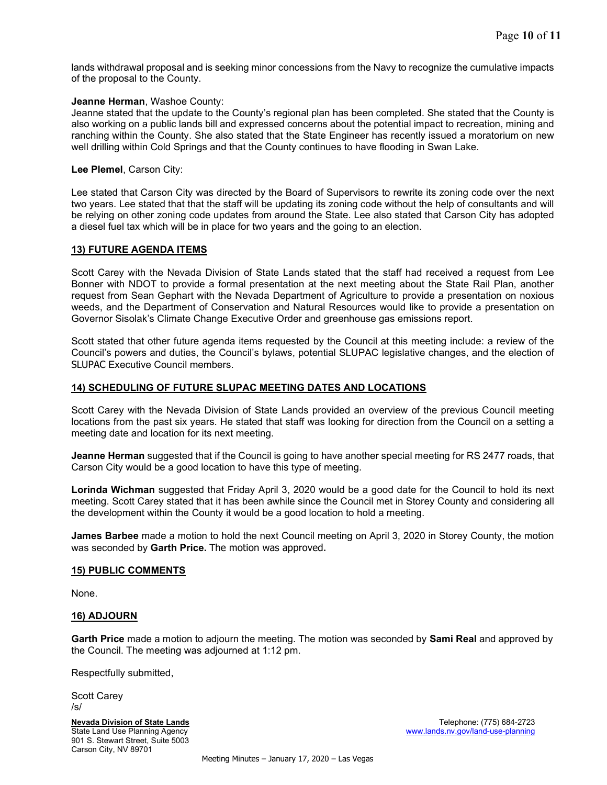lands withdrawal proposal and is seeking minor concessions from the Navy to recognize the cumulative impacts of the proposal to the County.

### Jeanne Herman, Washoe County:

Jeanne stated that the update to the County's regional plan has been completed. She stated that the County is also working on a public lands bill and expressed concerns about the potential impact to recreation, mining and ranching within the County. She also stated that the State Engineer has recently issued a moratorium on new well drilling within Cold Springs and that the County continues to have flooding in Swan Lake.

#### Lee Plemel, Carson City:

Lee stated that Carson City was directed by the Board of Supervisors to rewrite its zoning code over the next two years. Lee stated that that the staff will be updating its zoning code without the help of consultants and will be relying on other zoning code updates from around the State. Lee also stated that Carson City has adopted a diesel fuel tax which will be in place for two years and the going to an election.

### 13) FUTURE AGENDA ITEMS

Scott Carey with the Nevada Division of State Lands stated that the staff had received a request from Lee Bonner with NDOT to provide a formal presentation at the next meeting about the State Rail Plan, another request from Sean Gephart with the Nevada Department of Agriculture to provide a presentation on noxious weeds, and the Department of Conservation and Natural Resources would like to provide a presentation on Governor Sisolak's Climate Change Executive Order and greenhouse gas emissions report.

Scott stated that other future agenda items requested by the Council at this meeting include: a review of the Council's powers and duties, the Council's bylaws, potential SLUPAC legislative changes, and the election of SLUPAC Executive Council members.

### 14) SCHEDULING OF FUTURE SLUPAC MEETING DATES AND LOCATIONS

Scott Carey with the Nevada Division of State Lands provided an overview of the previous Council meeting locations from the past six years. He stated that staff was looking for direction from the Council on a setting a meeting date and location for its next meeting.

Jeanne Herman suggested that if the Council is going to have another special meeting for RS 2477 roads, that Carson City would be a good location to have this type of meeting.

Lorinda Wichman suggested that Friday April 3, 2020 would be a good date for the Council to hold its next meeting. Scott Carey stated that it has been awhile since the Council met in Storey County and considering all the development within the County it would be a good location to hold a meeting.

**James Barbee** made a motion to hold the next Council meeting on April 3, 2020 in Storey County, the motion was seconded by Garth Price. The motion was approved.

#### 15) PUBLIC COMMENTS

None.

#### 16) ADJOURN

Garth Price made a motion to adjourn the meeting. The motion was seconded by Sami Real and approved by the Council. The meeting was adjourned at 1:12 pm.

Respectfully submitted,

Scott Carey /s/

901 S. Stewart Street, Suite 5003 Carson City, NV 89701